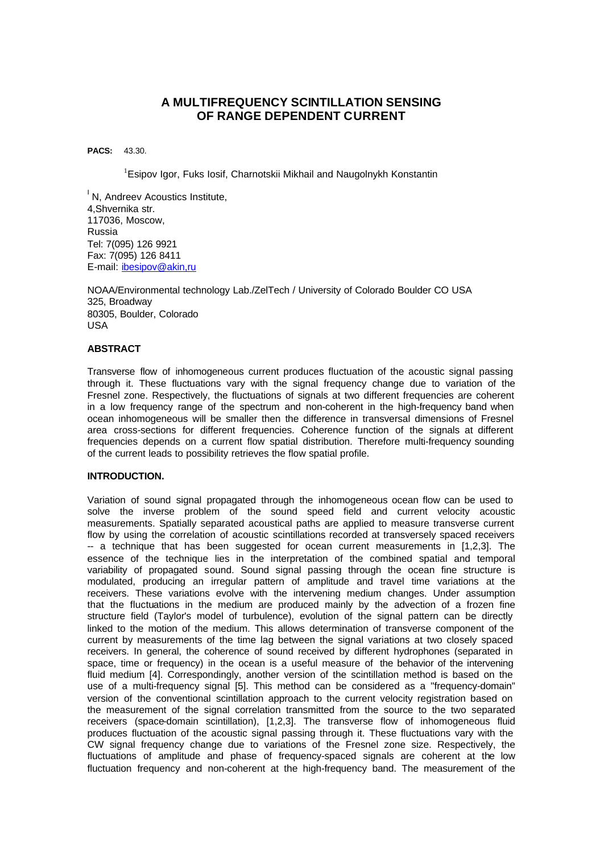# **A MULTIFREQUENCY SCINTILLATION SENSING OF RANGE DEPENDENT CURRENT**

**PACS:** 43.30.

<sup>1</sup>Esipov Igor, Fuks Iosif, Charnotskii Mikhail and Naugolnykh Konstantin

<sup>1</sup> N, Andreev Acoustics Institute, 4,Shvernika str. 117036, Moscow, Russia Tel: 7(095) 126 9921 Fax: 7(095) 126 8411 E-mail: ibesipov@akin,ru

NOAA/Environmental technology Lab./ZelTech / University of Colorado Boulder CO USA 325, Broadway 80305, Boulder, Colorado USA

## **ABSTRACT**

Transverse flow of inhomogeneous current produces fluctuation of the acoustic signal passing through it. These fluctuations vary with the signal frequency change due to variation of the Fresnel zone. Respectively, the fluctuations of signals at two different frequencies are coherent in a low frequency range of the spectrum and non-coherent in the high-frequency band when ocean inhomogeneous will be smaller then the difference in transversal dimensions of Fresnel area cross-sections for different frequencies. Coherence function of the signals at different frequencies depends on a current flow spatial distribution. Therefore multi-frequency sounding of the current leads to possibility retrieves the flow spatial profile.

### **INTRODUCTION.**

Variation of sound signal propagated through the inhomogeneous ocean flow can be used to solve the inverse problem of the sound speed field and current velocity acoustic measurements. Spatially separated acoustical paths are applied to measure transverse current flow by using the correlation of acoustic scintillations recorded at transversely spaced receivers -- a technique that has been suggested for ocean current measurements in [1,2,3]. The essence of the technique lies in the interpretation of the combined spatial and temporal variability of propagated sound. Sound signal passing through the ocean fine structure is modulated, producing an irregular pattern of amplitude and travel time variations at the receivers. These variations evolve with the intervening medium changes. Under assumption that the fluctuations in the medium are produced mainly by the advection of a frozen fine structure field (Taylor's model of turbulence), evolution of the signal pattern can be directly linked to the motion of the medium. This allows determination of transverse component of the current by measurements of the time lag between the signal variations at two closely spaced receivers. In general, the coherence of sound received by different hydrophones (separated in space, time or frequency) in the ocean is a useful measure of the behavior of the intervening fluid medium [4]. Correspondingly, another version of the scintillation method is based on the use of a multi-frequency signal [5]. This method can be considered as a ''frequency-domain'' version of the conventional scintillation approach to the current velocity registration based on the measurement of the signal correlation transmitted from the source to the two separated receivers (space-domain scintillation), [1,2,3]. The transverse flow of inhomogeneous fluid produces fluctuation of the acoustic signal passing through it. These fluctuations vary with the CW signal frequency change due to variations of the Fresnel zone size. Respectively, the fluctuations of amplitude and phase of frequency-spaced signals are coherent at the low fluctuation frequency and non-coherent at the high-frequency band. The measurement of the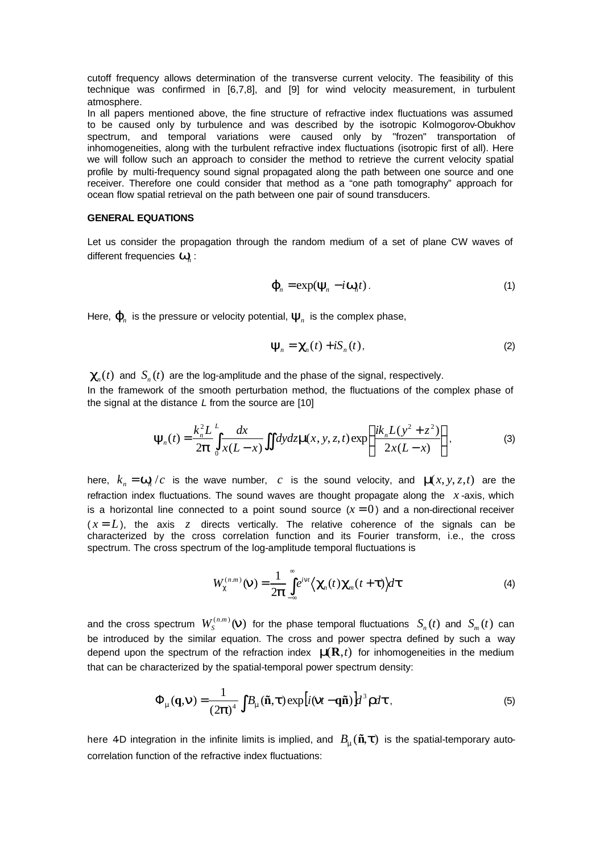cutoff frequency allows determination of the transverse current velocity. The feasibility of this technique was confirmed in [6,7,8], and [9] for wind velocity measurement, in turbulent atmosphere.

In all papers mentioned above, the fine structure of refractive index fluctuations was assumed to be caused only by turbulence and was described by the isotropic Kolmogorov-Obukhov spectrum, and temporal variations were caused only by ''frozen'' transportation of inhomogeneities, along with the turbulent refractive index fluctuations (isotropic first of all). Here we will follow such an approach to consider the method to retrieve the current velocity spatial profile by multi-frequency sound signal propagated along the path between one source and one receiver. Therefore one could consider that method as a "one path tomography" approach for ocean flow spatial retrieval on the path between one pair of sound transducers.

#### **GENERAL EQUATIONS**

Let us consider the propagation through the random medium of a set of plane CW waves of different frequencies *w<sup>n</sup>* :

$$
\boldsymbol{j}_n = \exp(\boldsymbol{y}_n - i\boldsymbol{w}_n t). \tag{1}
$$

Here, $\boldsymbol{j}_{{}_{n}}$  is the pressure or velocity potential,  $\boldsymbol{\mathcal{Y}}_{{}_{n}}$  is the complex phase,

$$
\mathbf{y}_n = \mathbf{C}_n(t) + i\mathbf{S}_n(t),
$$
 (2)

 $\mathbf{C}_n(t)$  and  $S_n(t)$  are the log-amplitude and the phase of the signal, respectively.

In the framework of the smooth perturbation method, the fluctuations of the complex phase of the signal at the distance *L* from the source are [10]

$$
\boldsymbol{y}_n(t) = \frac{k_n^2 L}{2\boldsymbol{p}} \int_0^L \frac{dx}{x(L-x)} \iint dy dz \boldsymbol{m}(x, y, z, t) \exp\left\{ \frac{ik_n L(y^2 + z^2)}{2x(L-x)} \right\},
$$
(3)

here,  $k_n = w_n/c$  is the wave number, c is the sound velocity, and  $m(x, y, z, t)$  are the refraction index fluctuations. The sound waves are thought propagate along the *x* -axis, which is a horizontal line connected to a point sound source  $(x = 0)$  and a non-directional receiver  $(x = L)$ , the axis *z* directs vertically. The relative coherence of the signals can be characterized by the cross correlation function and its Fourier transform, i.e., the cross spectrum. The cross spectrum of the log-amplitude temporal fluctuations is

$$
W_c^{(n,m)}(\mathbf{n}) = \frac{1}{2\mathbf{p}} \int_{-\infty}^{\infty} e^{i\mathbf{n}t} \langle \mathbf{c}_n(t) \mathbf{c}_m(t+\mathbf{t}) \rangle d\mathbf{t}
$$
 (4)

and the cross spectrum  $W^{(n,m)}_S(\boldsymbol{n})$  for the phase temporal fluctuations  $S_n(t)$  and  $S_m(t)$  can be introduced by the similar equation. The cross and power spectra defined by such a way depend upon the spectrum of the refraction index *m*(**R**,*t*) for inhomogeneities in the medium that can be characterized by the spatial-temporal power spectrum density:

$$
\Phi_{m}(\mathbf{q}, \mathbf{n}) = \frac{1}{(2\mathbf{p})^{4}} \int B_{m}(\tilde{\mathbf{n}}, \mathbf{t}) \exp[i(\mathbf{n}t - \mathbf{q}\tilde{\mathbf{n}})] d^{3} \mathbf{r} d\mathbf{t}, \tag{5}
$$

here 4D integration in the infinite limits is implied, and  $B_m(\tilde{\mathbf{n}}, t)$  is the spatial-temporary autocorrelation function of the refractive index fluctuations: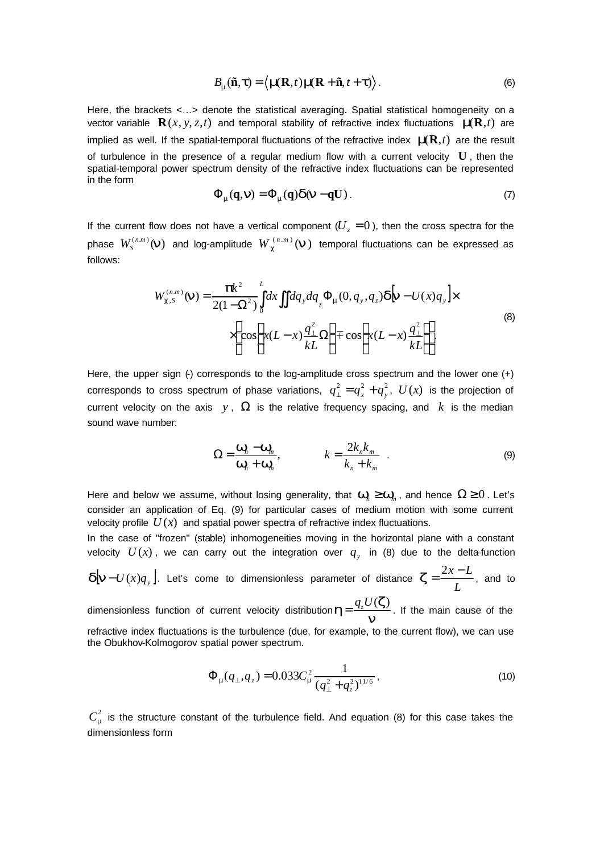$$
B_{m}(\tilde{\mathbf{n}}, \boldsymbol{t}) = \langle \boldsymbol{m}(\mathbf{R}, t) \boldsymbol{m}(\mathbf{R} + \tilde{\mathbf{n}}, t + \boldsymbol{t}) \rangle. \tag{6}
$$

Here, the brackets <…> denote the statistical averaging. Spatial statistical homogeneity on a vector variable  $\mathbf{R}(x, y, z, t)$  and temporal stability of refractive index fluctuations  $\mathbf{m}(\mathbf{R}, t)$  are implied as well. If the spatial-temporal fluctuations of the refractive index *m*(**R**,*t*) are the result of turbulence in the presence of a regular medium flow with a current velocity **U** , then the spatial-temporal power spectrum density of the refractive index fluctuations can be represented in the form

$$
\Phi_{m}(\mathbf{q},n) = \Phi_{m}(\mathbf{q})d(n - \mathbf{q}U). \tag{7}
$$

If the current flow does not have a vertical component  $(U_z = 0)$ , then the cross spectra for the phase  $W^{(n,m)}_S(\boldsymbol{n})$  and log-amplitude  $W^{(n,m)}_{\boldsymbol{c}}(\boldsymbol{n})$  temporal fluctuations can be expressed as follows:

$$
W_{c,s}^{(n,m)}(\mathbf{n}) = \frac{\mathbf{p}k^2}{2(1-\Omega^2)} \int_0^L dx \iint dq_y dq_z \Phi_{\mathbf{m}}(0, q_y, q_z) \mathbf{d}[\mathbf{n} - U(x)q_y] \times \times \left\{ \cos \left[ x(L-x) \frac{q_\perp^2}{kL} \Omega \right] \mp \cos \left[ x(L-x) \frac{q_\perp^2}{kL} \right] \right\}.
$$
 (8)

Here, the upper sign (-) corresponds to the log-amplitude cross spectrum and the lower one (+) corresponds to cross spectrum of phase variations,  $q_{\perp}^2 = q_x^2 + q_y^2$ ,  $U(x)$  is the projection of current velocity on the axis  $y$ ,  $\Omega$  is the relative frequency spacing, and k is the median sound wave number:

$$
\Omega = \frac{\mathbf{W}_n - \mathbf{W}_m}{\mathbf{W}_n + \mathbf{W}_m}, \qquad k = \frac{2k_n k_m}{k_n + k_m} \tag{9}
$$

Here and below we assume, without losing generality, that  $\textbf{\textit{W}}_n \geq \textbf{\textit{W}}_m$ , and hence  $\Omega \geq 0$  . Let's consider an application of Eq. (9) for particular cases of medium motion with some current velocity profile  $U(x)$  and spatial power spectra of refractive index fluctuations.

In the case of ''frozen'' (stable) inhomogeneities moving in the horizontal plane with a constant velocity  $U(x)$ , we can carry out the integration over  $q_y$  in (8) due to the delta-function

 $\boldsymbol{d}[\boldsymbol{n}-U(x)q_{_{\mathrm{y}}} \big].$  Let's come to dimensionless parameter of distance *L*  $z = \frac{2x - L}{l}$ , and to

dimensionless function of current velocity distribution  $h = \frac{q_z - q_z}{n}$  $\boldsymbol{h}$ = $\frac{q_z U(\boldsymbol{z})}{q}$ . If the main cause of the refractive index fluctuations is the turbulence (due, for example, to the current flow), we can use the Obukhov-Kolmogorov spatial power spectrum.

$$
\Phi_{m}(q_{\perp},q_{z}) = 0.033C_{m}^{2} \frac{1}{(q_{\perp}^{2} + q_{z}^{2})^{11/6}},
$$
\n(10)

 $C_m^2$  is the structure constant of the turbulence field. And equation (8) for this case takes the dimensionless form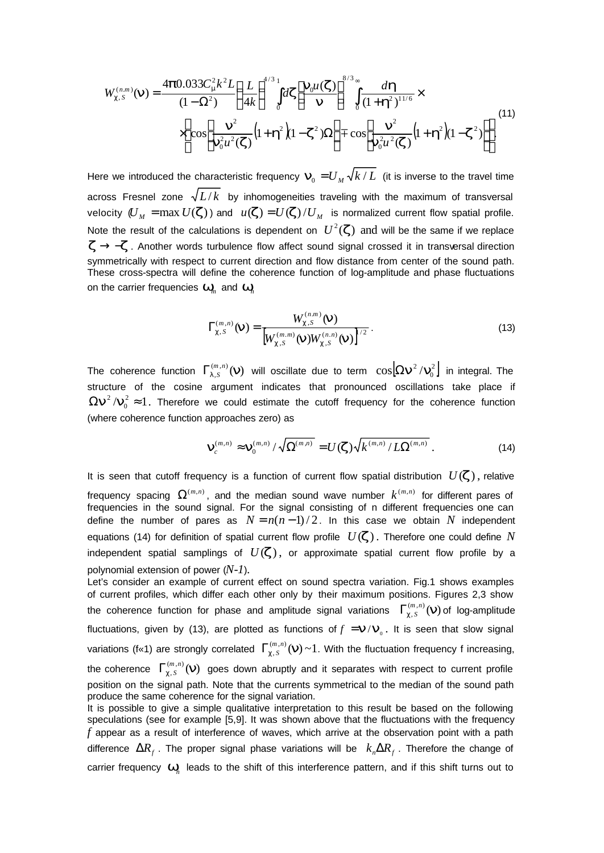$$
W_{c,s}^{(n,m)}(\mathbf{n}) = \frac{4\mathbf{p}0.033C_{\mathbf{m}}^{2}k^{2}L}{(1-\Omega^{2})}\left(\frac{L}{4k}\right)^{4/3}\int_{0}^{1}dz\left[\frac{\mathbf{n}_{0}\mu(\mathbf{z})}{\mathbf{n}}\right]^{8/3}\int_{0}^{\infty}\frac{d\mathbf{h}}{(1+\mathbf{h}^{2})^{11/6}}\times \\ \times\left\{\cos\left[\frac{\mathbf{n}^{2}}{\mathbf{n}_{0}^{2}\mu^{2}(\mathbf{z})}\left(1+\mathbf{h}^{2}\right)(1-\mathbf{z}^{2})\Omega\right]+\cos\left[\frac{\mathbf{n}^{2}}{\mathbf{n}_{0}^{2}\mu^{2}(\mathbf{z})}\left(1+\mathbf{h}^{2}\right)(1-\mathbf{z}^{2})\right]\right\}.\tag{11}
$$

Here we introduced the characteristic frequency  $\bm{n}_{\!_0}=$   $U_{_M}\sqrt{k\,/\,L\,}$  (it is inverse to the travel time across Fresnel zone  $\sqrt{L/k}$  by inhomogeneities traveling with the maximum of transversal velocity  $(U_M = \max U({\boldsymbol{Z}}))$  and  $u({\boldsymbol{Z}}) = U({\boldsymbol{Z}})/U_M$  is normalized current flow spatial profile. Note the result of the calculations is dependent on  $| U^2({\boldsymbol{z}}) \rangle$  and will be the same if we replace *z* → −*z*. Another words turbulence flow affect sound signal crossed it in transversal direction symmetrically with respect to current direction and flow distance from center of the sound path. These cross-spectra will define the coherence function of log-amplitude and phase fluctuations on the carrier frequencies  $\textit{\textbf{w}}_{{\sf \textit{m}}}$  and  $\textit{\textbf{w}}_{{\sf \textit{n}}}$ 

$$
\Gamma_{c,s}^{(m,n)}(\mathbf{n}) = \frac{W_{c,s}^{(n,m)}(\mathbf{n})}{\left[W_{c,s}^{(m,m)}(\mathbf{n})W_{c,s}^{(n,n)}(\mathbf{n})\right]^{1/2}}.
$$
\n(13)

The coherence function  $\Gamma^{(m,n)}_{I,S}(\bm{n})$  will oscillate due to term  $\cos[\Omega \bm{n}^2/\bm{n}_0^2]$  $\mathfrak b$  $\cos[\mathbf{\Omega}\boldsymbol{n}^2/\boldsymbol{n}_0^2]$  in integral. The structure of the cosine argument indicates that pronounced oscillations take place if  $\mathbf{m}_0^2 \approx 1$  $\Omega \bm{n}^2/\bm{n}_0^2 \approx 1$ . Therefore we could estimate the cutoff frequency for the coherence function (where coherence function approaches zero) as

$$
\mathbf{n}_{c}^{(m,n)} \approx \mathbf{n}_{0}^{(m,n)}/\sqrt{\Omega^{(m,n)}} = U(\mathbf{Z})\sqrt{k^{(m,n)}/L\Omega^{(m,n)}}.
$$
 (14)

It is seen that cutoff frequency is a function of current flow spatial distribution  $U(\mathbf{z})$ , relative frequency spacing  $\Omega^{(m,n)}$ , and the median sound wave number  $k^{(m,n)}$  for different pares of frequencies in the sound signal. For the signal consisting of n different frequencies one can define the number of pares as  $N = n(n-1)/2$ . In this case we obtain N independent equations (14) for definition of spatial current flow profile  $U(\mathbf{z})$ . Therefore one could define N independent spatial samplings of  $U(\mathbf{z})$ , or approximate spatial current flow profile by a polynomial extension of power (*N-1*).

Let's consider an example of current effect on sound spectra variation. Fig.1 shows examples of current profiles, which differ each other only by their maximum positions. Figures 2,3 show the coherence function for phase and amplitude signal variations  $\Gamma_{c, S}^{(m,n)}(\mathbf{n})$  of log-amplitude fluctuations, given by (13), are plotted as functions of  $f = n/n$ <sub>0</sub>. It is seen that slow signal variations (f«1) are strongly correlated  $\Gamma_{c,s}^{(m,n)}(\mathbf{n})\sim1$ . With the fluctuation frequency f increasing, the coherence  $\ \Gamma_{c,s}^{(m,n)}(\mathbf{n})\,$  goes down abruptly and it separates with respect to current profile position on the signal path. Note that the currents symmetrical to the median of the sound path produce the same coherence for the signal variation. It is possible to give a simple qualitative interpretation to this result be based on the following

speculations (see for example [5,9]. It was shown above that the fluctuations with the frequency *f* appear as a result of interference of waves, which arrive at the observation point with a path difference  $\Delta R_f$ . The proper signal phase variations will be  $k_n \Delta R_f$ . Therefore the change of carrier frequency  $\mathbf{w}_n$  leads to the shift of this interference pattern, and if this shift turns out to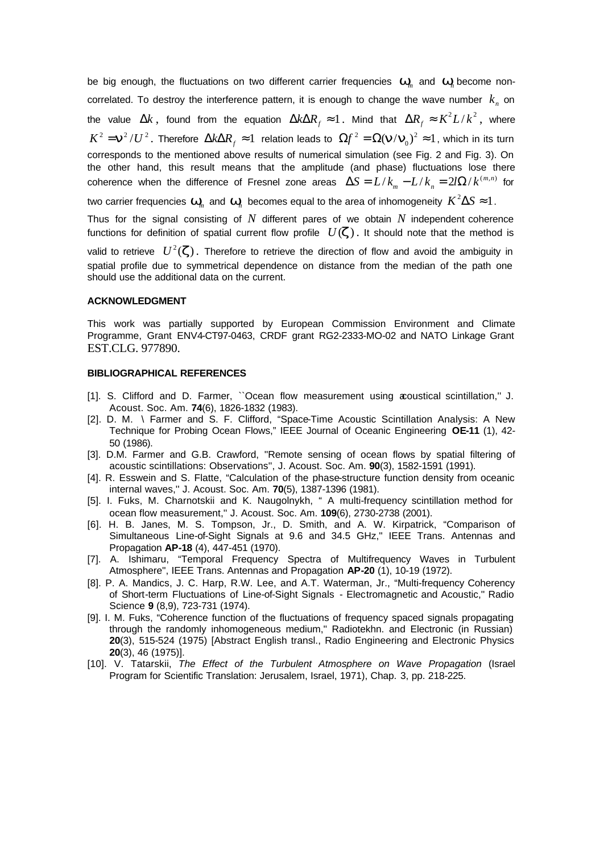be big enough, the fluctuations on two different carrier frequencies *w<sup>m</sup>* and *w<sup>n</sup>* become noncorrelated. To destroy the interference pattern, it is enough to change the wave number  $k_{n}$  on the value  $\Delta k$  , found from the equation  $\Delta k \Delta R_{_f} \approx 1$  . Mind that  $\Delta R_{_f} \approx K^2 L/k^2$  , where  $K^2 = n^2/U^2$ . Therefore  $\Delta k \Delta R$ <sub>f</sub>  $\approx 1$  relation leads to  $\Omega f^2 = \Omega(n/m_0)^2 \approx 1$  $\Omega f^2 = \Omega(\mathbf{n}/\mathbf{n}_0)^2 \approx 1$ , which in its turn corresponds to the mentioned above results of numerical simulation (see Fig. 2 and Fig. 3). On the other hand, this result means that the amplitude (and phase) fluctuations lose there  $\alpha$  coherence when the difference of Fresnel zone areas  $\Delta S = L/k_m - L/k_n = 2l\Omega/k^{(m,n)}$  for two carrier frequencies  $\textit{\textbf{w}}_m^{}$  and  $\textit{\textbf{w}}_n^{}$  becomes equal to the area of inhomogeneity  $\textit{K}^2\Delta S\thickapprox 1$  .

Thus for the signal consisting of *N* different pares of we obtain *N* independent coherence

functions for definition of spatial current flow profile  $U(\mathbf{z})$ . It should note that the method is

valid to retrieve  $| U^2({\boldsymbol{z}})$ . Therefore to retrieve the direction of flow and avoid the ambiguity in spatial profile due to symmetrical dependence on distance from the median of the path one should use the additional data on the current.

#### **ACKNOWLEDGMENT**

This work was partially supported by European Commission Environment and Climate Programme, Grant ENV4-CT97-0463, CRDF grant RG2-2333-MO-02 and NATO Linkage Grant EST.CLG. 977890.

#### **BIBLIOGRAPHICAL REFERENCES**

- [1]. S. Clifford and D. Farmer, "Ocean flow measurement using acoustical scintillation," J. Acoust. Soc. Am. **74**(6), 1826-1832 (1983).
- [2]. D. M. \ Farmer and S. F. Clifford, "Space-Time Acoustic Scintillation Analysis: A New Technique for Probing Ocean Flows," IEEE Journal of Oceanic Engineering **OE-11** (1), 42- 50 (1986).
- [3]. D.M. Farmer and G.B. Crawford, ''Remote sensing of ocean flows by spatial filtering of acoustic scintillations: Observations'', J. Acoust. Soc. Am. **90**(3), 1582-1591 (1991).
- [4]. R. Esswein and S. Flatte, "Calculation of the phase-structure function density from oceanic internal waves,'' J. Acoust. Soc. Am. **70**(5), 1387-1396 (1981).
- [5]. I. Fuks, M. Charnotskii and K. Naugolnykh, " A multi-frequency scintillation method for ocean flow measurement,'' J. Acoust. Soc. Am. **109**(6), 2730-2738 (2001).
- [6]. H. B. Janes, M. S. Tompson, Jr., D. Smith, and A. W. Kirpatrick, "Comparison of Simultaneous Line-of-Sight Signals at 9.6 and 34.5 GHz,'' IEEE Trans. Antennas and Propagation **AP-18** (4), 447-451 (1970).
- [7]. A. Ishimaru, "Temporal Frequency Spectra of Multifrequency Waves in Turbulent Atmosphere'', IEEE Trans. Antennas and Propagation **AP-20** (1), 10-19 (1972).
- [8]. P. A. Mandics, J. C. Harp, R.W. Lee, and A.T. Waterman, Jr., "Multi-frequency Coherency of Short-term Fluctuations of Line-of-Sight Signals - Electromagnetic and Acoustic,'' Radio Science **9** (8,9), 723-731 (1974).
- [9]. I. M. Fuks, "Coherence function of the fluctuations of frequency spaced signals propagating through the randomly inhomogeneous medium,'' Radiotekhn. and Electronic (in Russian) **20**(3), 515-524 (1975) [Abstract English transl., Radio Engineering and Electronic Physics **20**(3), 46 (1975)].
- [10]. V. Tatarskii, *The Effect of the Turbulent Atmosphere on Wave Propagation* (Israel Program for Scientific Translation: Jerusalem, Israel, 1971), Chap. 3, pp. 218-225.